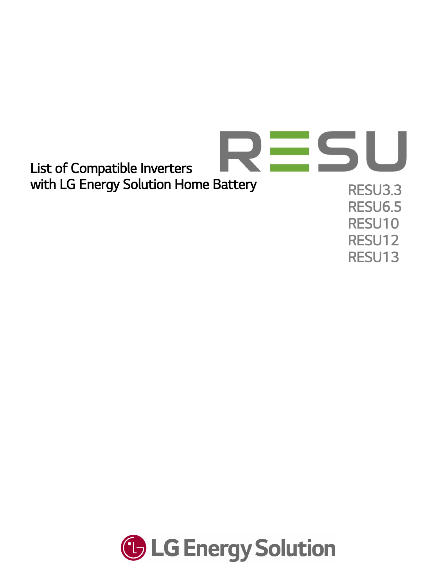

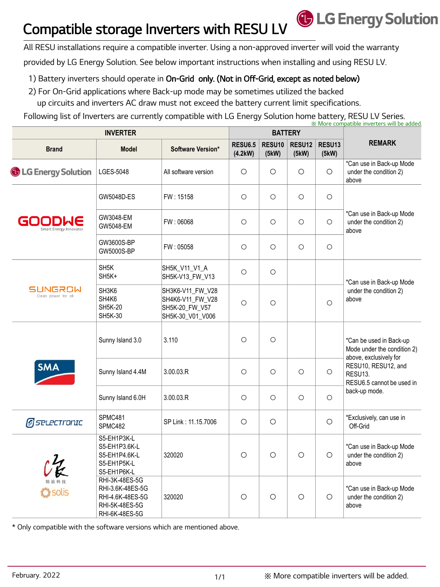## Compatible storage Inverters with RESU LV

All RESU installations require a compatible inverter. Using a non-approved inverter will void the warranty

provided by LG Energy Solution. See below important instructions when installing and using RESU LV.

## 1) Battery inverters should operate in On-Grid only. (Not in Off-Grid, except as noted below)

- 2) For On-Grid applications where Back-up mode may be sometimes utilized the backed
- up circuits and inverters AC draw must not exceed the battery current limit specifications.

Following list of Inverters are currently compatible with LG Energy Solution home battery, RESU LV Series. ※ More compatible inverters will be added.

| <b>INVERTER</b>                  |                                                                                            |                                                                            | <b>BATTERY</b>            |                 |                             |                             |                                                                                                                                                                  |
|----------------------------------|--------------------------------------------------------------------------------------------|----------------------------------------------------------------------------|---------------------------|-----------------|-----------------------------|-----------------------------|------------------------------------------------------------------------------------------------------------------------------------------------------------------|
| <b>Brand</b>                     | <b>Model</b>                                                                               | Software Version*                                                          | <b>RESU6.5</b><br>(4.2kW) | RESU10<br>(5kW) | RESU <sub>12</sub><br>(5kW) | RESU <sub>13</sub><br>(5kW) | <b>REMARK</b>                                                                                                                                                    |
| <b>G</b> LG Energy Solution      | <b>LGES-5048</b>                                                                           | All software version                                                       | $\circ$                   | $\circ$         | $\circ$                     | $\circ$                     | *Can use in Back-up Mode<br>under the condition 2)<br>above                                                                                                      |
| GOODWE<br>Smart Energy Innovator | GW5048D-ES                                                                                 | FW: 15158                                                                  | $\circ$                   | $\circ$         | $\circ$                     | $\circ$                     | *Can use in Back-up Mode<br>under the condition 2)<br>above                                                                                                      |
|                                  | GW3048-EM<br>GW5048-EM                                                                     | FW: 06068                                                                  | $\circ$                   | $\circ$         | $\circ$                     | $\circ$                     |                                                                                                                                                                  |
|                                  | GW3600S-BP<br>GW5000S-BP                                                                   | FW: 05058                                                                  | $\circ$                   | $\circ$         | $\circ$                     | $\circ$                     |                                                                                                                                                                  |
| SUNGROW<br>Clean power for all   | SH <sub>5</sub> K<br>SH <sub>5K</sub> +                                                    | SH5K_V11_V1_A<br>SH5K-V13_FW_V13                                           | $\circ$                   | $\circ$         |                             |                             | *Can use in Back-up Mode<br>under the condition 2)<br>above                                                                                                      |
|                                  | SH3K6<br>SH4K6<br><b>SH5K-20</b><br><b>SH5K-30</b>                                         | SH3K6-V11_FW_V28<br>SH4K6-V11_FW_V28<br>SH5K-20_FW_V57<br>SH5K-30_V01_V006 | $\circ$                   | $\circ$         |                             | $\circ$                     |                                                                                                                                                                  |
| <b>SMA</b>                       | Sunny Island 3.0                                                                           | 3.110                                                                      | $\circ$                   | $\circ$         |                             |                             | *Can be used in Back-up<br>Mode under the condition 2)<br>above, exclusively for<br>RESU10, RESU12, and<br>RESU13.<br>RESU6.5 cannot be used in<br>back-up mode. |
|                                  | Sunny Island 4.4M                                                                          | 3.00.03.R                                                                  | $\circ$                   | $\circ$         | $\circ$                     | $\circ$                     |                                                                                                                                                                  |
|                                  | Sunny Island 6.0H                                                                          | 3.00.03.R                                                                  | $\circ$                   | $\circ$         | $\circ$                     | $\circ$                     |                                                                                                                                                                  |
| <b>g</b> selectronic             | SPMC481<br>SPMC482                                                                         | SP Link: 11.15.7006                                                        | $\bigcirc$                | $\circ$         |                             | $\bigcirc$                  | *Exclusively, can use in<br>Off-Grid                                                                                                                             |
| 14<br><b>C</b> solis             | S5-EH1P3K-L<br>S5-EH1P3.6K-L<br>S5-EH1P4.6K-L<br>S5-EH1P5K-L<br>S5-EH1P6K-L                | 320020                                                                     | $\circ$                   | $\circ$         | $\circ$                     | $\circ$                     | *Can use in Back-up Mode<br>under the condition 2)<br>above                                                                                                      |
|                                  | RHI-3K-48ES-5G<br>RHI-3.6K-48ES-5G<br>RHI-4.6K-48ES-5G<br>RHI-5K-48ES-5G<br>RHI-6K-48ES-5G | 320020                                                                     | $\circ$                   | $\circ$         | $\circ$                     | $\circ$                     | *Can use in Back-up Mode<br>under the condition 2)<br>above                                                                                                      |

\* Only compatible with the software versions which are mentioned above.

**G** LG Energy Solution